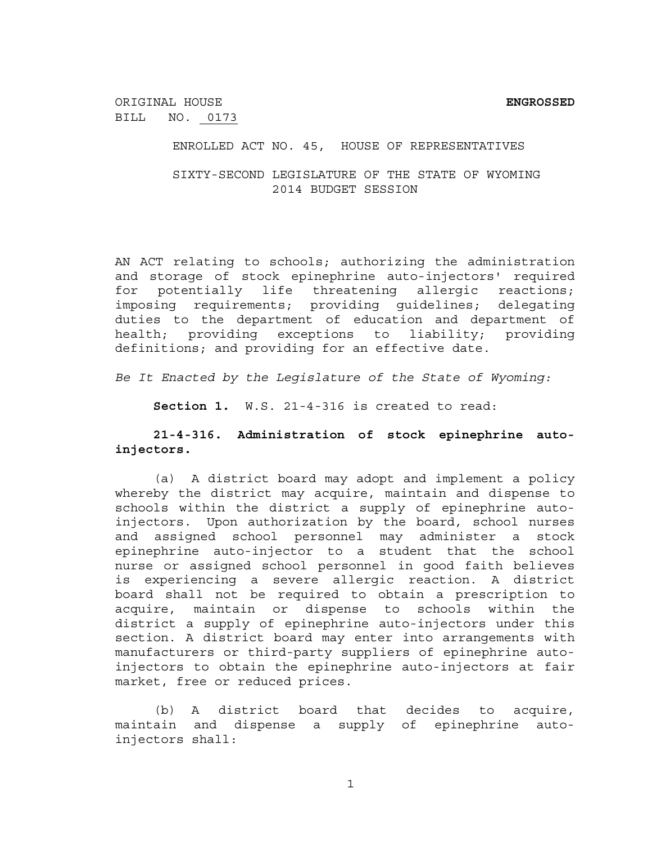ORIGINAL HOUSE **ENGROSSED** BILL NO. 0173

ENROLLED ACT NO. 45, HOUSE OF REPRESENTATIVES

SIXTY-SECOND LEGISLATURE OF THE STATE OF WYOMING 2014 BUDGET SESSION

AN ACT relating to schools; authorizing the administration and storage of stock epinephrine auto-injectors' required for potentially life threatening allergic reactions; imposing requirements; providing guidelines; delegating duties to the department of education and department of health; providing exceptions to liability; providing definitions; and providing for an effective date.

*Be It Enacted by the Legislature of the State of Wyoming:* 

**Section 1.** W.S. 21-4-316 is created to read:

**21-4-316. Administration of stock epinephrine autoinjectors.** 

(a) A district board may adopt and implement a policy whereby the district may acquire, maintain and dispense to schools within the district a supply of epinephrine autoinjectors. Upon authorization by the board, school nurses and assigned school personnel may administer a stock epinephrine auto-injector to a student that the school nurse or assigned school personnel in good faith believes is experiencing a severe allergic reaction. A district board shall not be required to obtain a prescription to acquire, maintain or dispense to schools within the district a supply of epinephrine auto-injectors under this section. A district board may enter into arrangements with manufacturers or third-party suppliers of epinephrine autoinjectors to obtain the epinephrine auto-injectors at fair market, free or reduced prices.

(b) A district board that decides to acquire, maintain and dispense a supply of epinephrine autoinjectors shall:

1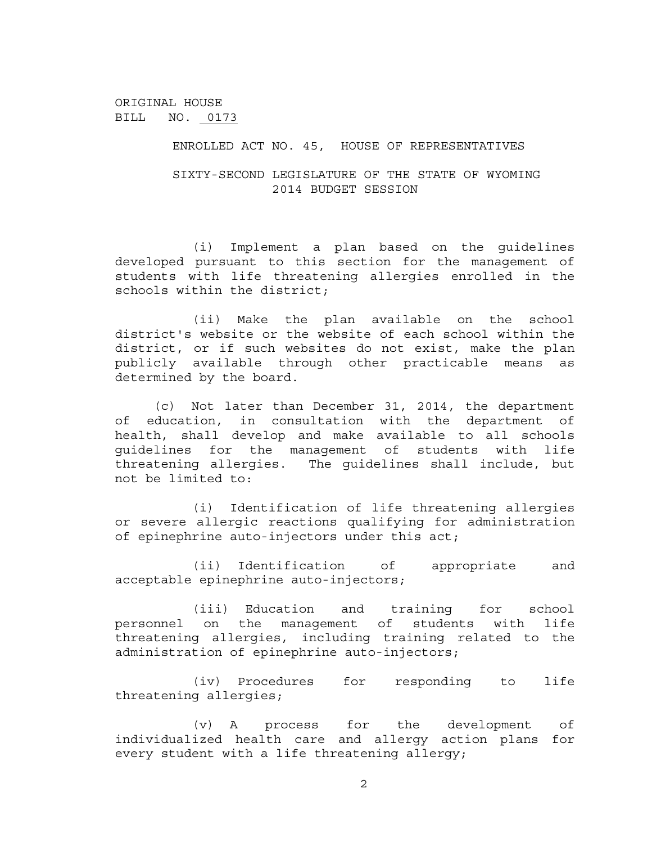ENROLLED ACT NO. 45, HOUSE OF REPRESENTATIVES

SIXTY-SECOND LEGISLATURE OF THE STATE OF WYOMING 2014 BUDGET SESSION

(i) Implement a plan based on the guidelines developed pursuant to this section for the management of students with life threatening allergies enrolled in the schools within the district;

(ii) Make the plan available on the school district's website or the website of each school within the district, or if such websites do not exist, make the plan publicly available through other practicable means as determined by the board.

(c) Not later than December 31, 2014, the department of education, in consultation with the department of health, shall develop and make available to all schools guidelines for the management of students with life threatening allergies. The guidelines shall include, but not be limited to:

(i) Identification of life threatening allergies or severe allergic reactions qualifying for administration of epinephrine auto-injectors under this act;

(ii) Identification of appropriate and acceptable epinephrine auto-injectors;

(iii) Education and training for school personnel on the management of students with life threatening allergies, including training related to the administration of epinephrine auto-injectors;

(iv) Procedures for responding to life threatening allergies;

(v) A process for the development of individualized health care and allergy action plans for every student with a life threatening allergy;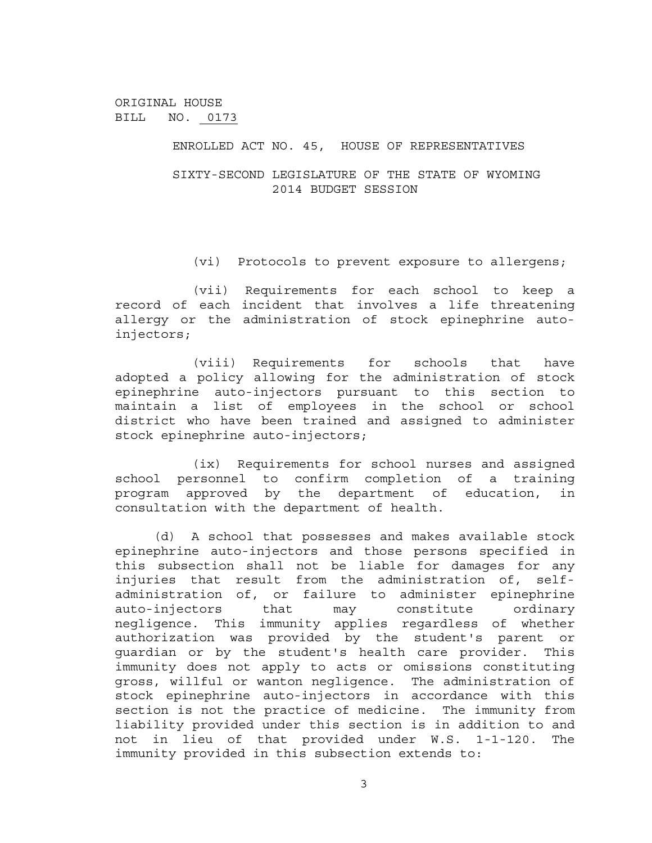## ENROLLED ACT NO. 45, HOUSE OF REPRESENTATIVES

SIXTY-SECOND LEGISLATURE OF THE STATE OF WYOMING 2014 BUDGET SESSION

(vi) Protocols to prevent exposure to allergens;

(vii) Requirements for each school to keep a record of each incident that involves a life threatening allergy or the administration of stock epinephrine autoinjectors;

(viii) Requirements for schools that have adopted a policy allowing for the administration of stock epinephrine auto-injectors pursuant to this section to maintain a list of employees in the school or school district who have been trained and assigned to administer stock epinephrine auto-injectors;

(ix) Requirements for school nurses and assigned school personnel to confirm completion of a training program approved by the department of education, in consultation with the department of health.

(d) A school that possesses and makes available stock epinephrine auto-injectors and those persons specified in this subsection shall not be liable for damages for any injuries that result from the administration of, selfadministration of, or failure to administer epinephrine auto-injectors that may constitute ordinary negligence. This immunity applies regardless of whether authorization was provided by the student's parent or guardian or by the student's health care provider. This immunity does not apply to acts or omissions constituting gross, willful or wanton negligence. The administration of stock epinephrine auto-injectors in accordance with this section is not the practice of medicine. The immunity from liability provided under this section is in addition to and not in lieu of that provided under W.S. 1-1-120. The immunity provided in this subsection extends to: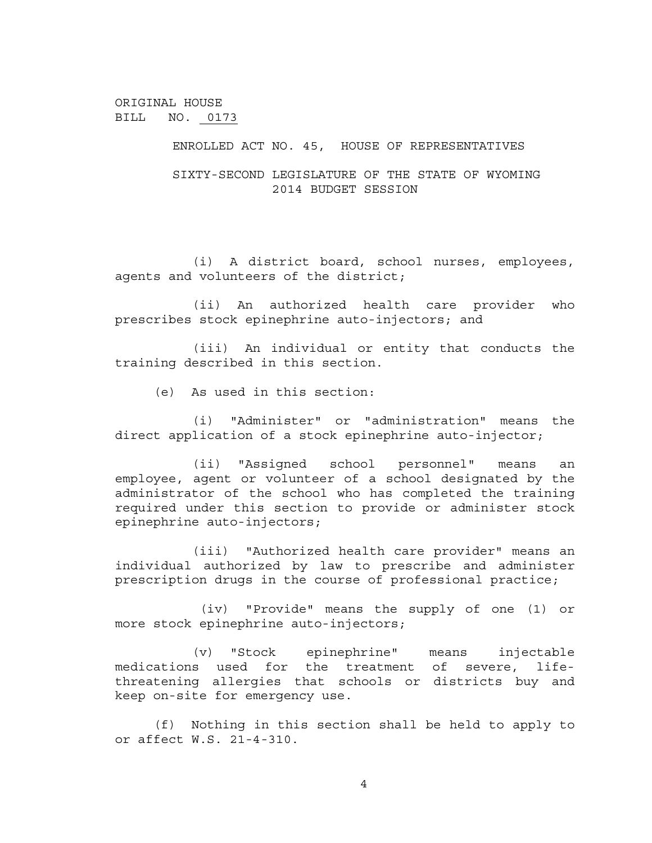ENROLLED ACT NO. 45, HOUSE OF REPRESENTATIVES

SIXTY-SECOND LEGISLATURE OF THE STATE OF WYOMING 2014 BUDGET SESSION

(i) A district board, school nurses, employees, agents and volunteers of the district;

(ii) An authorized health care provider who prescribes stock epinephrine auto-injectors; and

(iii) An individual or entity that conducts the training described in this section.

(e) As used in this section:

(i) "Administer" or "administration" means the direct application of a stock epinephrine auto-injector;

(ii) "Assigned school personnel" means an employee, agent or volunteer of a school designated by the administrator of the school who has completed the training required under this section to provide or administer stock epinephrine auto-injectors;

(iii) "Authorized health care provider" means an individual authorized by law to prescribe and administer prescription drugs in the course of professional practice;

 (iv) "Provide" means the supply of one (1) or more stock epinephrine auto-injectors;

(v) "Stock epinephrine" means injectable medications used for the treatment of severe, lifethreatening allergies that schools or districts buy and keep on-site for emergency use.

(f) Nothing in this section shall be held to apply to or affect W.S. 21-4-310.

4